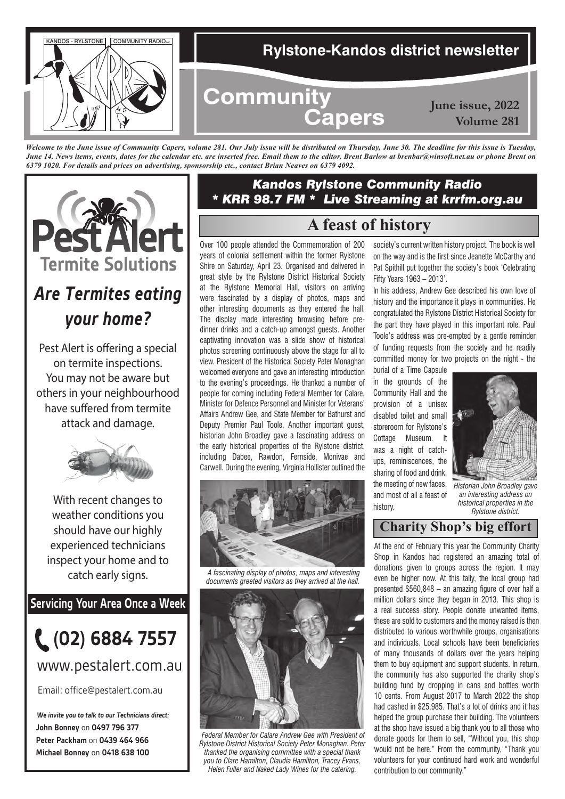

*Welcome to the June issue of Community Capers, volume 281. Our July issue will be distributed on Thursday, June 30. The deadline for this issue is Tuesday, June 14. News items, events, dates for the calendar etc. are inserted free. Email them to the editor, Brent Barlow at brenbar@winsoft.net.au or phone Brent on 6379 1020. For details and prices on advertising, sponsorship etc., contact Brian Neaves on 6379 4092.*



# *Are Termites eating your home?*

Pest Alert is offering a special on termite inspections. You may not be aware but others in your neighbourhood have suffered from termite attack and damage.



With recent changes to weather conditions you should have our highly experienced technicians inspect your home and to catch early signs.

**Servicing Your Area Once a Week**



## www.pestalert.com.au

Email: office@pestalert.com.au

**John Bonney** on **0497 796 377 Peter Packham** on **0439 464 966 Michael Bonney** on **0418 638 100 We invite you to talk to our Technicians direct:**

# *Kandos Rylstone Community Radio \* KRR 98.7 FM \* Live Streaming at krrfm.org.au*

# **A feast of history**

Over 100 people attended the Commemoration of 200 years of colonial settlement within the former Rylstone Shire on Saturday, April 23. Organised and delivered in great style by the Rylstone District Historical Society at the Rylstone Memorial Hall, visitors on arriving were fascinated by a display of photos, maps and other interesting documents as they entered the hall. The display made interesting browsing before predinner drinks and a catch-up amongst guests. Another captivating innovation was a slide show of historical photos screening continuously above the stage for all to view. President of the Historical Society Peter Monaghan welcomed everyone and gave an interesting introduction to the evening's proceedings. He thanked a number of people for coming including Federal Member for Calare, Minister for Defence Personnel and Minister for Veterans' Affairs Andrew Gee, and State Member for Bathurst and Deputy Premier Paul Toole. Another important guest, historian John Broadley gave a fascinating address on the early historical properties of the Rylstone district, including Dabee, Rawdon, Fernside, Monivae and Carwell. During the evening, Virginia Hollister outlined the



 *A fascinating display of photos, maps and interesting documents greeted visitors as they arrived at the hall.*



 *Federal Member for Calare Andrew Gee with President of Rylstone District Historical Society Peter Monaghan. Peter thanked the organising committee with a special thank you to Clare Hamilton, Claudia Hamilton, Tracey Evans, Helen Fuller and Naked Lady Wines for the catering.*

society's current written history project. The book is well on the way and is the first since Jeanette McCarthy and Pat Spithill put together the society's book 'Celebrating Fifty Years 1963 – 2013'.

In his address, Andrew Gee described his own love of history and the importance it plays in communities. He congratulated the Rylstone District Historical Society for the part they have played in this important role. Paul Toole's address was pre-empted by a gentle reminder of funding requests from the society and he readily committed money for two projects on the night - the

burial of a Time Capsule in the grounds of the Community Hall and the provision of a unisex disabled toilet and small storeroom for Rylstone's Cottage Museum. It was a night of catchups, reminiscences, the sharing of food and drink, the meeting of new faces, and most of all a feast of history.



*Historian John Broadley gave an interesting address on historical properties in the Rylstone district.*

# **Charity Shop's big effort**

At the end of February this year the Community Charity Shop in Kandos had registered an amazing total of donations given to groups across the region. It may even be higher now. At this tally, the local group had presented \$560,848 – an amazing figure of over half a million dollars since they began in 2013. This shop is a real success story. People donate unwanted items, these are sold to customers and the money raised is then distributed to various worthwhile groups, organisations and individuals. Local schools have been beneficiaries of many thousands of dollars over the years helping them to buy equipment and support students. In return, the community has also supported the charity shop's building fund by dropping in cans and bottles worth 10 cents. From August 2017 to March 2022 the shop had cashed in \$25,985. That's a lot of drinks and it has helped the group purchase their building. The volunteers at the shop have issued a big thank you to all those who donate goods for them to sell, "Without you, this shop would not be here." From the community, "Thank you volunteers for your continued hard work and wonderful contribution to our community."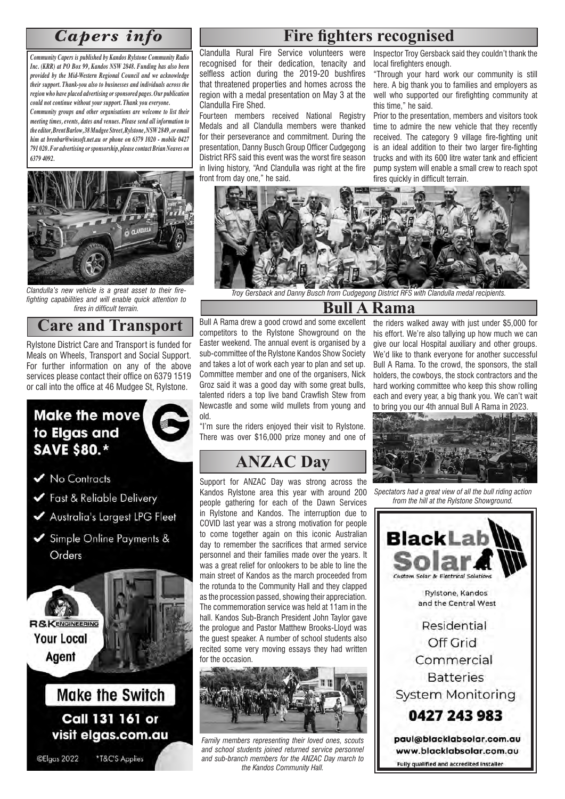*Community Capers is published by Kandos Rylstone Community Radio Inc. (KRR) at PO Box 99, Kandos NSW 2848. Funding has also been provided by the Mid-Western Regional Council and we acknowledge their support. Thank-you also to businesses and individuals across the region who have placed advertising or sponsored pages. Our publication could not continue without your support. Thank you everyone.* 

*Community groups and other organisations are welcome to list their meeting times, events, dates and venues. Please send all information to the editor, Brent Barlow, 38 Mudgee Street, Rylstone, NSW 2849, or email him at brenbar@winsoft.net.au or phone on 6379 1020 - mobile 0427 791 020. For advertising or sponsorship, please contact Brian Neaves on 6379 4092.*



*Clandulla's new vehicle is a great asset to their firefighting capabilities and will enable quick attention to fires in difficult terrain.*

### **Care and Transport**

Rylstone District Care and Transport is funded for Meals on Wheels, Transport and Social Support. For further information on any of the above services please contact their office on 6379 1519 or call into the office at 46 Mudgee St, Rylstone.



# *Capers info* **Fire fighters recognised**

Clandulla Rural Fire Service volunteers were recognised for their dedication, tenacity and selfless action during the 2019-20 bushfires that threatened properties and homes across the region with a medal presentation on May 3 at the Clandulla Fire Shed.

Fourteen members received National Registry Medals and all Clandulla members were thanked for their perseverance and commitment. During the presentation, Danny Busch Group Officer Cudgegong District RFS said this event was the worst fire season in living history, "And Clandulla was right at the fire front from day one," he said.

Inspector Troy Gersback said they couldn't thank the local firefighters enough.

"Through your hard work our community is still here. A big thank you to families and employers as well who supported our firefighting community at this time," he said.

Prior to the presentation, members and visitors took time to admire the new vehicle that they recently received. The category 9 village fire-fighting unit is an ideal addition to their two larger fire-fighting trucks and with its 600 litre water tank and efficient pump system will enable a small crew to reach spot fires quickly in difficult terrain.



 *Troy Gersback and Danny Busch from Cudgegong District RFS with Clandulla medal recipients.*

### **Bull A Rama**

Bull A Rama drew a good crowd and some excellent competitors to the Rylstone Showground on the Easter weekend. The annual event is organised by a sub-committee of the Rylstone Kandos Show Society and takes a lot of work each year to plan and set up. Committee member and one of the organisers, Nick Groz said it was a good day with some great bulls, talented riders a top live band Crawfish Stew from Newcastle and some wild mullets from young and old.

"I'm sure the riders enjoyed their visit to Rylstone. There was over \$16,000 prize money and one of

# **ANZAC Day**

Support for ANZAC Day was strong across the Kandos Rylstone area this year with around 200 people gathering for each of the Dawn Services in Rylstone and Kandos. The interruption due to COVID last year was a strong motivation for people to come together again on this iconic Australian day to remember the sacrifices that armed service personnel and their families made over the years. It was a great relief for onlookers to be able to line the main street of Kandos as the march proceeded from the rotunda to the Community Hall and they clapped as the procession passed, showing their appreciation. The commemoration service was held at 11am in the hall. Kandos Sub-Branch President John Taylor gave the prologue and Pastor Matthew Brooks-Lloyd was the guest speaker. A number of school students also recited some very moving essays they had written for the occasion.



*Family members representing their loved ones, scouts and school students joined returned service personnel and sub-branch members for the ANZAC Day march to the Kandos Community Hall.* 

the riders walked away with just under \$5,000 for his effort. We're also tallying up how much we can give our local Hospital auxiliary and other groups. We'd like to thank everyone for another successful Bull A Rama. To the crowd, the sponsors, the stall holders, the cowboys, the stock contractors and the hard working committee who keep this show rolling each and every year, a big thank you. We can't wait to bring you our 4th annual Bull A Rama in 2023.



*Spectators had a great view of all the bull riding action from the hill at the Rylstone Showground.*

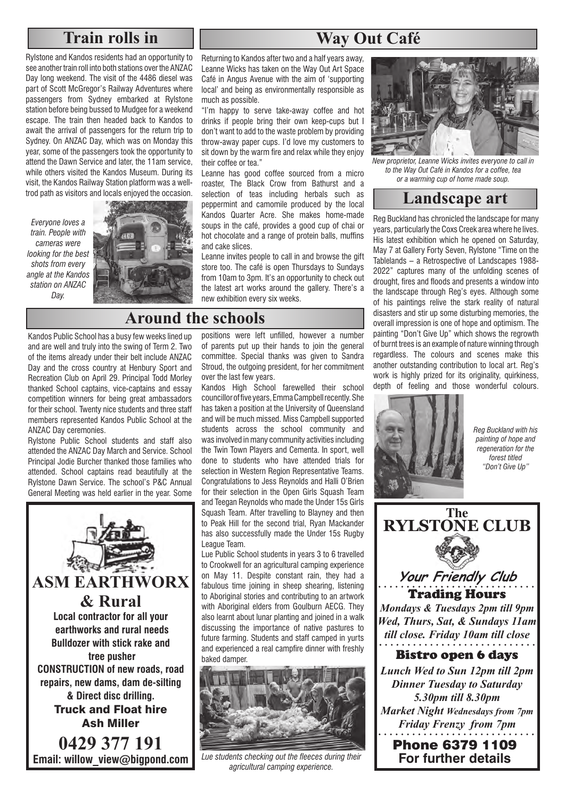# **Train rolls in**

Rylstone and Kandos residents had an opportunity to see another train roll into both stations over the ANZAC Day long weekend. The visit of the 4486 diesel was part of Scott McGregor's Railway Adventures where passengers from Sydney embarked at Rylstone station before being bussed to Mudgee for a weekend escape. The train then headed back to Kandos to await the arrival of passengers for the return trip to Sydney. On ANZAC Day, which was on Monday this year, some of the passengers took the opportunity to attend the Dawn Service and later, the 11am service, while others visited the Kandos Museum. During its visit, the Kandos Railway Station platform was a welltrod path as visitors and locals enjoyed the occasion.

*Everyone loves a train. People with cameras were looking for the best shots from every angle at the Kandos station on ANZAC Day.*



Kandos Public School has a busy few weeks lined up and are well and truly into the swing of Term 2. Two of the items already under their belt include ANZAC Day and the cross country at Henbury Sport and Recreation Club on April 29. Principal Todd Morley thanked School captains, vice-captains and essay competition winners for being great ambassadors for their school. Twenty nice students and three staff members represented Kandos Public School at the ANZAC Day ceremonies.

Rylstone Public School students and staff also attended the ANZAC Day March and Service. School Principal Jodie Burcher thanked those families who attended. School captains read beautifully at the Rylstone Dawn Service. The school's P&C Annual General Meeting was held earlier in the year. Some



Returning to Kandos after two and a half years away, Leanne Wicks has taken on the Way Out Art Space Café in Angus Avenue with the aim of 'supporting local' and being as environmentally responsible as much as possible.

**Way Out Café**

"I'm happy to serve take-away coffee and hot drinks if people bring their own keep-cups but I don't want to add to the waste problem by providing throw-away paper cups. I'd love my customers to sit down by the warm fire and relax while they enjoy their coffee or tea."

Leanne has good coffee sourced from a micro roaster, The Black Crow from Bathurst and a selection of teas including herbals such as peppermint and camomile produced by the local Kandos Quarter Acre. She makes home-made soups in the café, provides a good cup of chai or hot chocolate and a range of protein balls, muffins and cake slices.

Leanne invites people to call in and browse the gift store too. The café is open Thursdays to Sundays from 10am to 3pm. It's an opportunity to check out the latest art works around the gallery. There's a new exhibition every six weeks.

### **Around the schools**

positions were left unfilled, however a number of parents put up their hands to join the general committee. Special thanks was given to Sandra Stroud, the outgoing president, for her commitment over the last few years.

Kandos High School farewelled their school councillor of five years, Emma Campbell recently. She has taken a position at the University of Queensland and will be much missed. Miss Campbell supported students across the school community and was involved in many community activities including the Twin Town Players and Cementa. In sport, well done to students who have attended trials for selection in Western Region Representative Teams. Congratulations to Jess Reynolds and Halli O'Brien for their selection in the Open Girls Squash Team and Teegan Reynolds who made the Under 15s Girls Squash Team. After travelling to Blayney and then to Peak Hill for the second trial, Ryan Mackander has also successfully made the Under 15s Rugby League Team.

Lue Public School students in years 3 to 6 travelled to Crookwell for an agricultural camping experience on May 11. Despite constant rain, they had a fabulous time joining in sheep shearing, listening to Aboriginal stories and contributing to an artwork with Aboriginal elders from Goulburn AECG. They also learnt about lunar planting and joined in a walk discussing the importance of native pastures to future farming. Students and staff camped in yurts and experienced a real campfire dinner with freshly baked damper.



*Lue students checking out the fleeces during their agricultural camping experience.* 



*New proprietor, Leanne Wicks invites everyone to call in to the Way Out Café in Kandos for a coffee, tea or a warming cup of home made soup.*

#### **Landscape art**

Reg Buckland has chronicled the landscape for many years, particularly the Coxs Creek area where he lives. His latest exhibition which he opened on Saturday, May 7 at Gallery Forty Seven, Rylstone "Time on the Tablelands – a Retrospective of Landscapes 1988- 2022" captures many of the unfolding scenes of drought, fires and floods and presents a window into the landscape through Reg's eyes. Although some of his paintings relive the stark reality of natural disasters and stir up some disturbing memories, the overall impression is one of hope and optimism. The painting "Don't Give Up" which shows the regrowth of burnt trees is an example of nature winning through regardless. The colours and scenes make this another outstanding contribution to local art. Reg's work is highly prized for its originality, quirkiness, depth of feeling and those wonderful colours.



*Reg Buckland with his painting of hope and regeneration for the forest titled "Don't Give Up"*